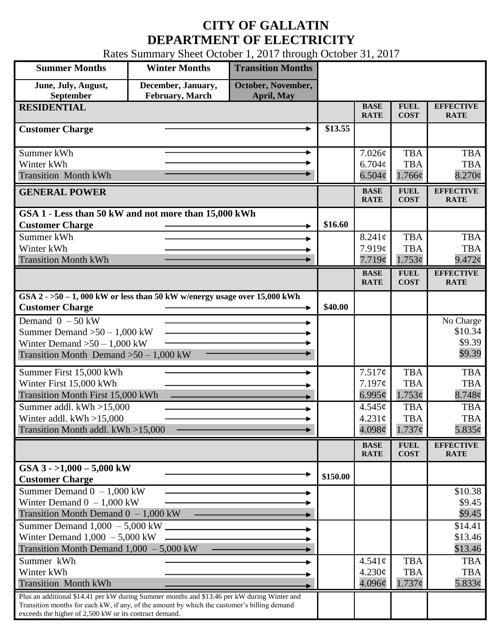## **CITY OF GALLATIN DEPARTMENT OF ELECTRICITY**

Rates Summary Sheet October 1, 2017 through October 31, 2017

| <b>Summer Months</b>                                                                                  | <b>Winter Months</b>                         | <b>Transition Months</b>                |             |                            |                            |                                 |
|-------------------------------------------------------------------------------------------------------|----------------------------------------------|-----------------------------------------|-------------|----------------------------|----------------------------|---------------------------------|
| June, July, August,<br>September                                                                      | December, January,<br><b>February, March</b> | October, November,<br><b>April, May</b> |             |                            |                            |                                 |
| <b>RESIDENTIAL</b>                                                                                    |                                              |                                         |             | <b>BASE</b><br><b>RATE</b> | <b>FUEL</b><br><b>COST</b> | <b>EFFECTIVE</b><br><b>RATE</b> |
| <b>Customer Charge</b>                                                                                |                                              |                                         |             |                            |                            |                                 |
| Summer kWh                                                                                            |                                              |                                         |             | 7.026¢                     | <b>TBA</b>                 | <b>TBA</b>                      |
| Winter kWh                                                                                            |                                              |                                         |             | $6.704\phi$                | <b>TBA</b>                 | <b>TBA</b>                      |
| <b>Transition Month kWh</b>                                                                           |                                              |                                         |             | $6.504\phi$                | 1.766¢                     | $8.270\phi$                     |
| <b>GENERAL POWER</b>                                                                                  |                                              |                                         |             | <b>BASE</b><br><b>RATE</b> | <b>FUEL</b><br><b>COST</b> | <b>EFFECTIVE</b><br><b>RATE</b> |
| GSA 1 - Less than 50 kW and not more than 15,000 kWh                                                  |                                              |                                         |             |                            |                            |                                 |
| <b>Customer Charge</b>                                                                                |                                              |                                         | \$16.60     |                            |                            |                                 |
| Summer kWh                                                                                            |                                              |                                         |             | 8.241c                     | <b>TBA</b>                 | <b>TBA</b>                      |
| Winter kWh                                                                                            |                                              |                                         |             | 7.919¢                     | <b>TBA</b>                 | <b>TBA</b>                      |
| <b>Transition Month kWh</b>                                                                           |                                              |                                         |             | 7.719¢                     | 1.753¢                     | 9.472¢                          |
|                                                                                                       |                                              |                                         |             | <b>BASE</b><br><b>RATE</b> | <b>FUEL</b><br><b>COST</b> | <b>EFFECTIVE</b><br><b>RATE</b> |
| GSA $2 - 50 - 1$ , 000 kW or less than 50 kW w/energy usage over 15,000 kWh<br><b>Customer Charge</b> |                                              |                                         |             |                            |                            |                                 |
| Demand $0 - 50$ kW                                                                                    |                                              |                                         |             |                            |                            | No Charge                       |
| Summer Demand $>50 - 1,000$ kW                                                                        |                                              |                                         |             |                            |                            | \$10.34                         |
| Winter Demand $>50 - 1,000$ kW                                                                        |                                              |                                         |             |                            | \$9.39                     |                                 |
| Transition Month Demand $>50-1,000$ kW                                                                |                                              |                                         |             |                            |                            | \$9.39                          |
| Summer First 15,000 kWh                                                                               |                                              |                                         |             | 7.517¢                     | <b>TBA</b>                 | <b>TBA</b>                      |
| Winter First 15,000 kWh                                                                               |                                              |                                         | 7.197¢      | <b>TBA</b>                 | <b>TBA</b>                 |                                 |
| Transition Month First 15,000 kWh                                                                     |                                              |                                         | $6.995\phi$ | 1.753¢                     | 8.748¢                     |                                 |
| Summer addl. $kWh > 15,000$                                                                           |                                              |                                         |             | 4.545¢                     | <b>TBA</b>                 | <b>TBA</b>                      |
| Winter addl. $kWh > 15,000$                                                                           |                                              |                                         |             | $4.231\text{¢}$            | <b>TBA</b>                 | <b>TBA</b>                      |
| Transition Month addl. kWh >15,000                                                                    |                                              |                                         |             | $4.098\phi$                | $1.737\phi$                | $5.835\phi$                     |
|                                                                                                       |                                              |                                         |             | <b>BASE</b><br><b>RATE</b> | <b>FUEL</b><br><b>COST</b> | <b>EFFECTIVE</b><br><b>RATE</b> |
| GSA $3 - 1,000 - 5,000$ kW                                                                            |                                              |                                         |             |                            |                            |                                 |
| <b>Customer Charge</b>                                                                                |                                              |                                         | \$150.00    |                            |                            |                                 |
| Summer Demand $0 - 1,000$ kW                                                                          |                                              |                                         |             |                            |                            | \$10.38                         |
| Winter Demand $0 - 1,000$ kW                                                                          |                                              |                                         |             |                            |                            | \$9.45                          |
| Transition Month Demand $0 - 1,000$ kW<br>Summer Demand $1,000 - 5,000$ kW $\overline{\phantom{2n}}$  |                                              |                                         |             |                            |                            | \$9.45                          |
|                                                                                                       |                                              |                                         |             |                            |                            | \$14.41                         |
| Winter Demand $1,000 - 5,000$ kW<br>Transition Month Demand $1,000 - 5,000$ kW                        |                                              |                                         |             |                            |                            | \$13.46<br>\$13.46              |
| Summer kWh                                                                                            |                                              |                                         |             | $4.541\phi$                | <b>TBA</b>                 | <b>TBA</b>                      |
| Winter kWh                                                                                            |                                              |                                         |             | 4.230¢                     | <b>TBA</b>                 | <b>TBA</b>                      |
| <b>Transition Month kWh</b>                                                                           |                                              |                                         |             | 4.096¢                     | $1.737\epsilon$            | 5.833¢                          |
| Plus an additional \$14.41 per kW during Summer months and \$13.46 per kW during Winter and           |                                              |                                         |             |                            |                            |                                 |
| Transition months for each kW, if any, of the amount by which the customer's billing demand           |                                              |                                         |             |                            |                            |                                 |
| exceeds the higher of 2,500 kW or its contract demand.                                                |                                              |                                         |             |                            |                            |                                 |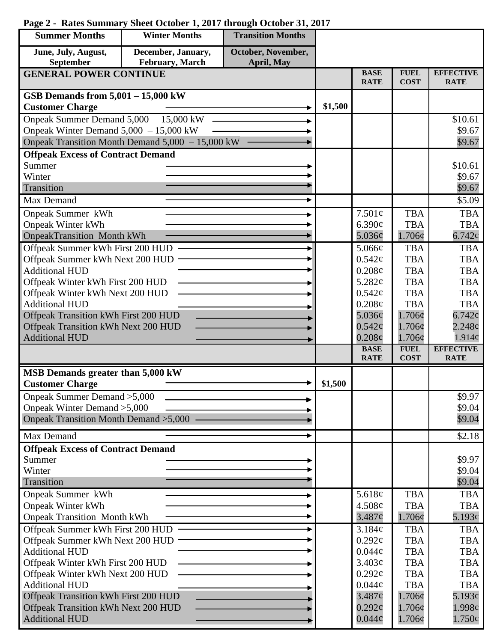## **Summer Months Winter Months Transition Months June, July, August, December, January, October, November, September February, March April, May GENERAL POWER CONTINUE BASE FUEL EFFECTIVE RATE COST RATE GSB Demands from 5,001 – 15,000 kW Customer Charge 2014 Customer Charge** 201500 Onpeak Summer Demand 5,000 – 15,000 kW \$10.61 Onpeak Winter Demand 5,000 – 15,000 kW \$9.67 ь Onpeak Transition Month Demand 5,000 – 15,000 kW \$9.67 **Offpeak Excess of Contract Demand** Summer \$10.61 Winter \$9.67 \$9.67 Transition Max Demand  $\qquad \qquad \longrightarrow \qquad$  \$5.09 Onpeak Summer kWh 7.501¢ TBA TBA Onpeak Winter kWh 6.390¢ TBA **TBA** OnpeakTransition Month kWh 1.706¢ 5.036¢ 6.742¢ Offpeak Summer kWh First 200 HUD TBA **TBA** ь 5.066¢ Offpeak Summer kWh Next 200 HUD  $0.542\epsilon$ TBA TBA Additional HUD  $0.208\mathcal{C}$ TBA TBA Offpeak Winter kWh First 200 HUD 5.282¢ TBA TBA Offpeak Winter kWh Next 200 HUD  $0.542\text{c}$ TBA **TBA** Additional HUD TBA  $0.208<sub>c</sub>$ TBA Offpeak Transition kWh First 200 HUD 5.036¢ 1.706¢ 6.742¢ Offpeak Transition kWh Next 200 HUD 1.706¢  $0.542\mathcal{C}$ 2.248¢ 1.706¢ 1.914¢ Additional HUD 0.208**¢ FUEL BASE EFFECTIVE RATE COST RATE MSB Demands greater than 5,000 kW** Customer Charge  $\qquad \qquad \longrightarrow \qquad \qquad$  \$1,500 Onpeak Summer Demand >5,000 \$9.97 Onpeak Winter Demand >5,000 \$9.04 Onpeak Transition Month Demand >5,000 \$9.04 Max Demand  $\sim$   $\sim$  \$2.18 **Offpeak Excess of Contract Demand** Summer \$9.97 Winter \$9.04 Transition \$9.04 Onpeak Summer kWh TBA TBA 5.618¢ Onpeak Winter kWh 4.508¢ TBA TBA Onpeak Transition Month kWh 3.487¢ 1.706¢ 5.193¢ Offpeak Summer kWh First 200 HUD TBA 3.184¢ **TBA** Offpeak Summer kWh Next 200 HUD  $0.292\text{c}$ TBA TBA Additional HUD TBA TBA  $0.044\mathcal{C}$ Offpeak Winter kWh First 200 HUD  $3.403<sub>c</sub>$ TBA TBA Offpeak Winter kWh Next 200 HUD  $0.292\text{c}$ **TBA TBA** Additional HUD  $0.044c$ TBA TBA Offpeak Transition kWh First 200 HUD  $3.487¢$ 1.706¢ 5.193¢ Offpeak Transition kWh Next 200 HUD  $0.292<sub>\mathcal{C}</sub>$ 1.706¢ 1.998¢ Additional HUD  $0.044\mathcal{C}$ 1.706¢ 1.750¢

## **Page 2 - Rates Summary Sheet October 1, 2017 through October 31, 2017**